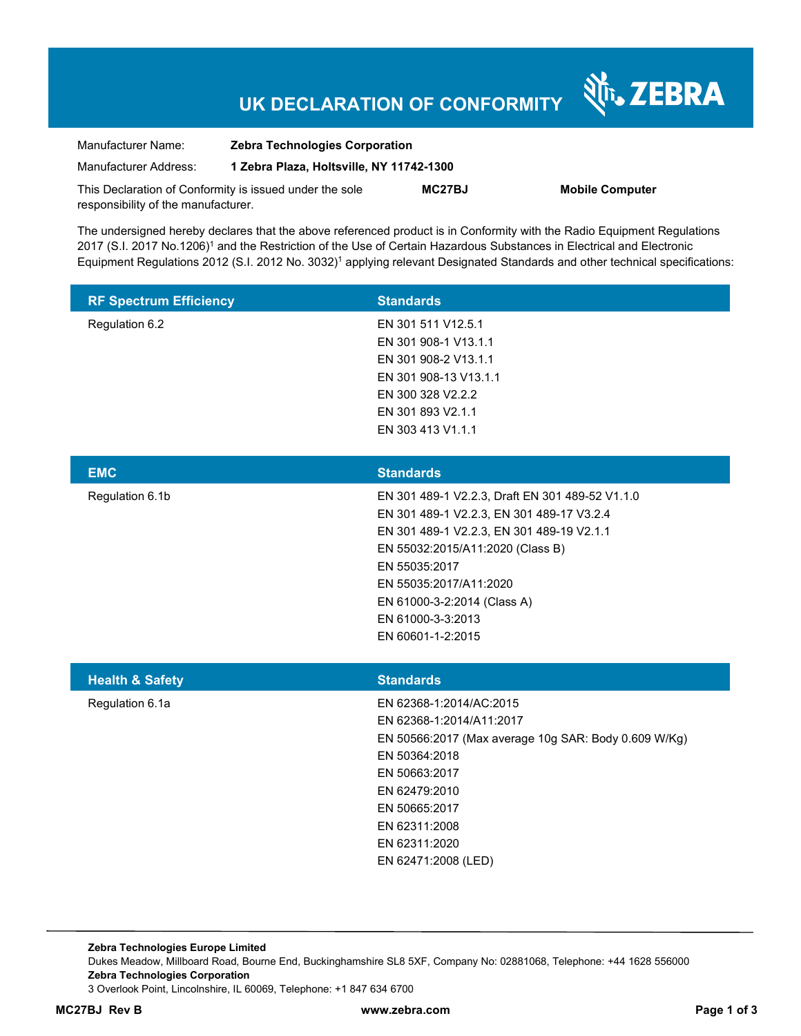# **UK DECLARATION OF CONFORMITY**

Nr. ZEBRA

| Manufacturer Name:                                      | <b>Zebra Technologies Corporation</b>    |               |                        |  |
|---------------------------------------------------------|------------------------------------------|---------------|------------------------|--|
| Manufacturer Address:                                   | 1 Zebra Plaza, Holtsville, NY 11742-1300 |               |                        |  |
| This Declaration of Conformity is issued under the sole |                                          | <b>MC27BJ</b> | <b>Mobile Computer</b> |  |
| responsibility of the manufacturer.                     |                                          |               |                        |  |

The undersigned hereby declares that the above referenced product is in Conformity with the Radio Equipment Regulations 2017 (S.I. 2017 No.1206)<sup>1</sup> and the Restriction of the Use of Certain Hazardous Substances in Electrical and Electronic Equipment Regulations 2012 (S.I. 2012 No. 3032)<sup>1</sup> applying relevant Designated Standards and other technical specifications:

| <b>RF Spectrum Efficiency</b> | <b>Standards</b>                                                                                                                                                                                                                                                                                  |
|-------------------------------|---------------------------------------------------------------------------------------------------------------------------------------------------------------------------------------------------------------------------------------------------------------------------------------------------|
| Regulation 6.2                | EN 301 511 V12.5.1<br>EN 301 908-1 V13.1.1<br>EN 301 908-2 V13.1.1<br>EN 301 908-13 V13.1.1<br>EN 300 328 V2.2.2<br>EN 301 893 V2.1.1<br>EN 303 413 V1.1.1                                                                                                                                        |
| <b>EMC</b>                    | <b>Standards</b>                                                                                                                                                                                                                                                                                  |
| Regulation 6.1b               | EN 301 489-1 V2.2.3, Draft EN 301 489-52 V1.1.0<br>EN 301 489-1 V2.2.3, EN 301 489-17 V3.2.4<br>EN 301 489-1 V2.2.3, EN 301 489-19 V2.1.1<br>EN 55032:2015/A11:2020 (Class B)<br>EN 55035:2017<br>EN 55035:2017/A11:2020<br>EN 61000-3-2:2014 (Class A)<br>EN 61000-3-3:2013<br>EN 60601-1-2:2015 |
| <b>Health &amp; Safety</b>    | <b>Standards</b>                                                                                                                                                                                                                                                                                  |
| Regulation 6.1a               | EN 62368-1:2014/AC:2015<br>EN 62368-1:2014/A11:2017<br>EN 50566:2017 (Max average 10g SAR: Body 0.609 W/Kg)<br>EN 50364:2018<br>EN 50663:2017<br>EN 62479:2010<br>EN 50665:2017<br>EN 62311:2008<br>EN 62311:2020<br>EN 62471:2008 (LED)                                                          |

**Zebra Technologies Europe Limited**  Dukes Meadow, Millboard Road, Bourne End, Buckinghamshire SL8 5XF, Company No: 02881068, Telephone: +44 1628 556000 **Zebra Technologies Corporation**  3 Overlook Point, Lincolnshire, IL 60069, Telephone: +1 847 634 6700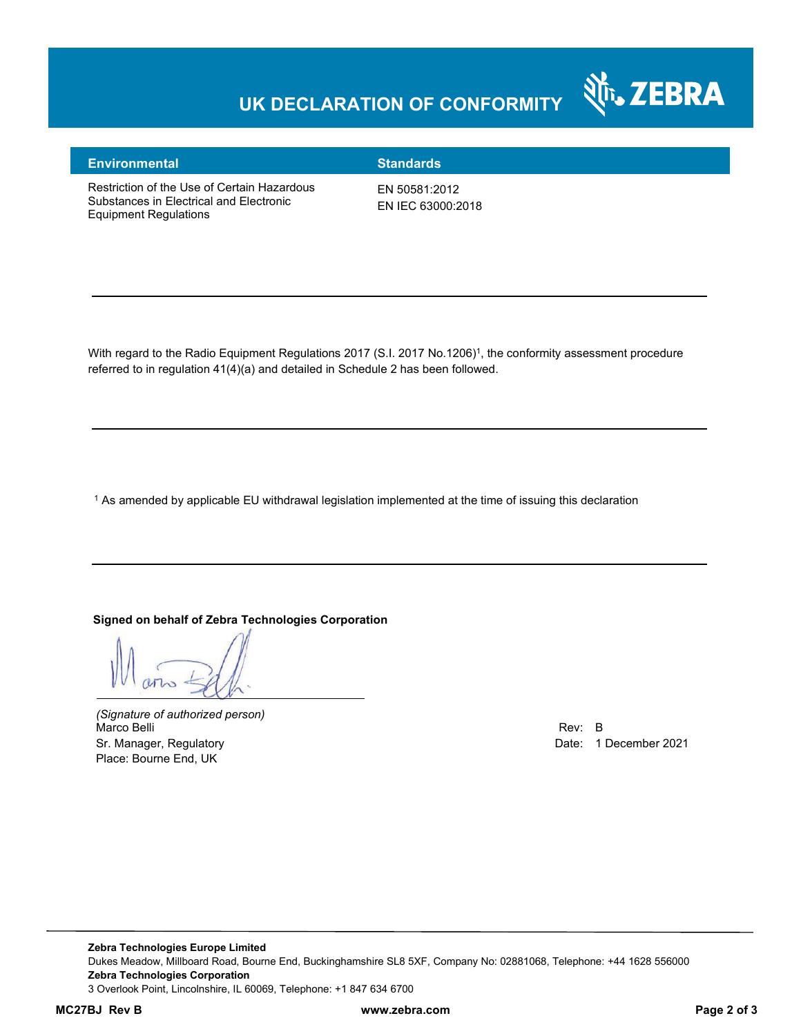### **UK DECLARATION OF CONFORMITY**



#### **Environmental Standards**

Restriction of the Use of Certain Hazardous Substances in Electrical and Electronic Equipment Regulations

EN 50581:2012 EN IEC 63000:2018

With regard to the Radio Equipment Regulations 2017 (S.I. 2017 No.1206)<sup>1</sup>, the conformity assessment procedure referred to in regulation 41(4)(a) and detailed in Schedule 2 has been followed.

 $^{\rm 1}$  As amended by applicable EU withdrawal legislation implemented at the time of issuing this declaration

#### **Signed on behalf of Zebra Technologies Corporation**

*(Signature of authorized person)* Marco Belli Rev: B and Rev: B and Rev: B and Rev: B and Rev: B and Rev: B and Rev: B and Rev: B and Rev: B and Rev: B Sr. Manager, Regulatory **Date: 1 December 2021** Control of the United States of the Date: 1 December 2021 Place: Bourne End, UK